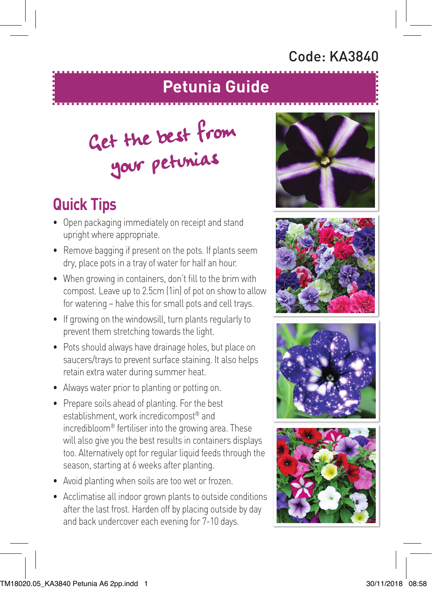## Code: KA3840

## **Petunia Guide**

## Get the best from your petunias

## **Quick Tips**

- Open packaging immediately on receipt and stand upright where appropriate.
- Remove bagging if present on the pots. If plants seem dry, place pots in a tray of water for half an hour.
- When growing in containers, don't fill to the brim with compost. Leave up to 2.5cm (1in) of pot on show to allow for watering – halve this for small pots and cell trays.
- If growing on the windowsill, turn plants regularly to prevent them stretching towards the light.
- Pots should always have drainage holes, but place on saucers/trays to prevent surface staining. It also helps retain extra water during summer heat.
- Always water prior to planting or potting on.
- Prepare soils ahead of planting. For the best establishment, work incredicompost® and incredibloom® fertiliser into the growing area. These will also give you the best results in containers displays too. Alternatively opt for regular liquid feeds through the season, starting at 6 weeks after planting.
- Avoid planting when soils are too wet or frozen.
- Acclimatise all indoor grown plants to outside conditions after the last frost. Harden off by placing outside by day and back undercover each evening for 7-10 days.